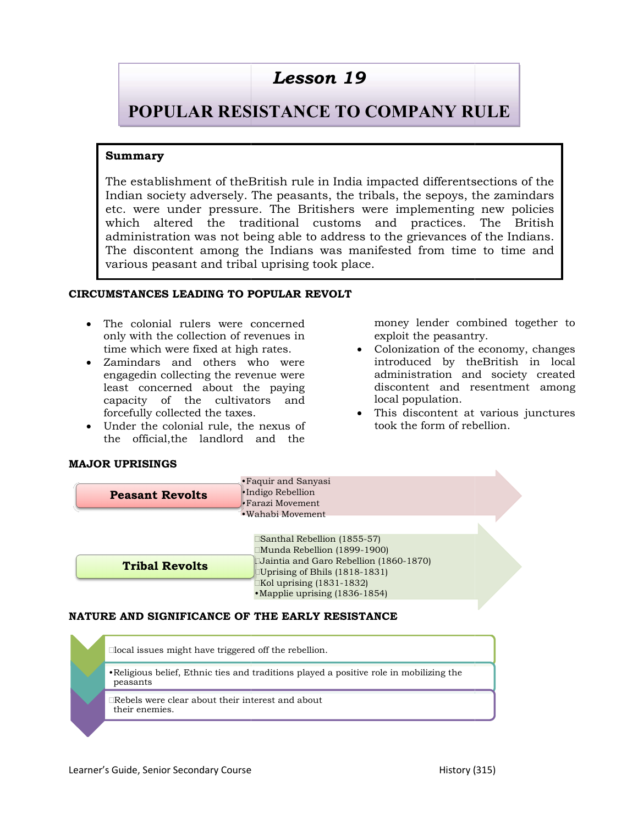# POPULAR RESISTANCE TO COMPANY RULE

## Summary

The establishment of theBritish rule in India impacted different Indian society adversely. The peasants, the tribals, the sepoys, the zamindars Indian society adversely. The peasants, the tribals, the sepoys, the zamindars<br>etc. were under pressure. The Britishers were implementing new policies which altered the traditional customs and practices. The British administration was not being able to address to the grievances of the Indians.  $\vert$ The discontent among the Indians was manifested from time to time and  $\vert$ various peasant and tribal uprising took place. the establishment of the<br>British rule in India impacted differentsections of the translations<br>cite, were under pressure. The British differents were implementing new policies<br>which altered the translations constrained cus **Lesson 19**<br> **PULAR RESISTANCE TO COMPANY RI**<br>
blishment of theBritish rule in India impacted differentse<br>
ociety adversely. The peasants, the tribals, the sepoys, the<br>
e under pressure. The Britishers were implementing<br>
a The establishment of the<br>British rule in India impacted different<br>sections of the Indian society adversely. The peasants, the tribals, the sepoys, the zamindars<br>etc. were under pressure. The Britishers were implementing ne

### CIRCUMSTANCES LEADING TO POPULAR REVOLT LEADING POPULAR

- The colonial rulers were concerned money lender combined together to only with the collection of revenues in time which were fixed at high rates. The colonial rulers were concerned mone<br>only with the collection of revenues in explc<br>time which were fixed at high rates.  $\bullet$  Color
- Zamindars and others who were engagedin collecting the revenue were least concerned about the paying capacity of the cultivators and forcefully collected the taxes. Zamindars and others who were<br>engagedin collecting the revenue were<br>least concerned about the paying<br>capacity of the cultivators and<br>forcefully collected the taxes.
- Under the colonial rule, the nexus of the official,the landlord and the

exploit the peasantry.

- The colonial rulers were concerned<br>
only with the collection of revenues in<br>
time which were fixed at high rates.<br>
<br>
<br>
<br>
Zamindars and others who were introduced by the<br>British in local<br>
engaged<br>in collecting the revenue w • Colonization of the economy, changes introduced by theBritish in local administration and society created discontent and resentment among local population. lender combined together to<br>the peasantry.<br>tation of the economy, changes<br>ced by theBritish in local<br>tration and society created<br>ent and resentment among<br>pulation.<br>content at various junctures<br>form of rebellion.<br>70)<br>70)<br>Di
	- This discontent at various junctures took the form of rebellion.

| <b>MAJOR UPRISINGS</b> |  |
|------------------------|--|
|                        |  |

| <b>Peasant Revolts</b> | • Faquir and Sanyasi<br>•Indigo Rebellion                               |  |
|------------------------|-------------------------------------------------------------------------|--|
|                        | $\bullet$ Farazi Movement.                                              |  |
|                        | $\bullet$ Wahabi Movement                                               |  |
|                        |                                                                         |  |
|                        | Santhal Rebellion (1855-57)                                             |  |
|                        | ™unda Rebellion (1899-1900)                                             |  |
| <b>Tribal Revolts</b>  | Jaintia and Garo Rebellion (1860-1870)<br>Uprising of Bhils (1818-1831) |  |
|                        | $\exists$ Kol uprising (1831-1832)                                      |  |
|                        | • Mapplie uprising (1836-1854)                                          |  |
|                        | NATURE AND SIGNIFICANCE OF THE EARLY RESISTANCE                         |  |

### NATURE AND SIGNIFICANCE OF THE EARLY RESISTANCE

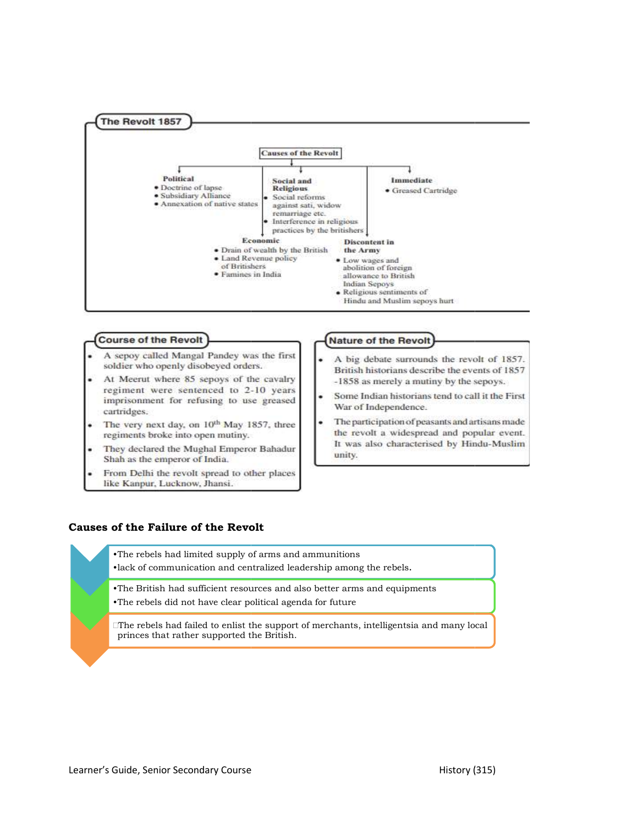

#### **Course of the Revolt**

- A sepoy called Mangal Pandey was the first soldier who openly disobeyed orders.
- At Meerut where 85 sepoys of the cavalry regiment were sentenced to 2-10 years imprisonment for refusing to use greased cartridges.
- The very next day, on 10th May 1857, three regiments broke into open mutiny.
- They declared the Mughal Emperor Bahadur Shah as the emperor of India.
- From Delhi the revolt spread to other places like Kanpur, Lucknow, Jhansi.

### **Nature of the Revolt**

- A big debate surrounds the revolt of 1857. British historians describe the events of 1857 -1858 as merely a mutiny by the sepoys.
- Some Indian historians tend to call it the First War of Independence.
- The participation of peasants and artisans made the revolt a widespread and popular event. It was also characterised by Hindu-Muslim unity.

### Causes of the Failure of the Revolt

•The rebels had limited supply of arms and ammunitions •The rebels had limited supply of arms and ammunitions<br>•lack of communication and centralized leadership among the rebels. •The British had sufficient resources and also better arms and equipments

•The rebels did not have clear political agenda for future

The rebels had failed to enlist the support of merchants, intelligentsia and many local princes that rather supported the British. The British had sufficient resources and also better<br>The rebels did not have clear political agenda for fut<br>The rebels had failed to enlist the support of mercha<br>princes that rather supported the British.